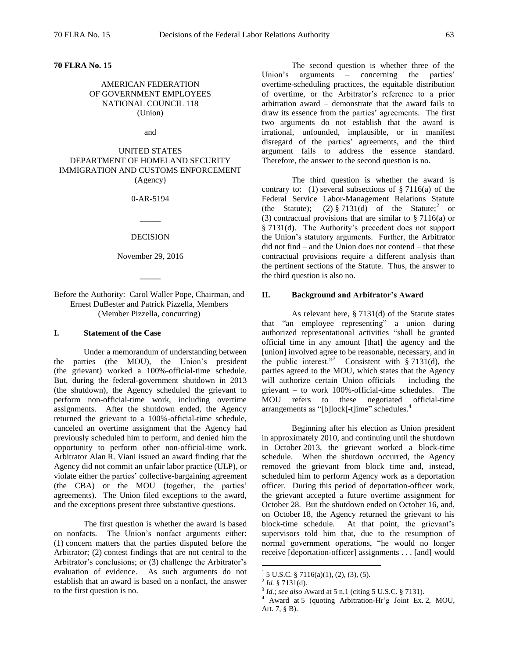**70 FLRA No. 15**

# AMERICAN FEDERATION OF GOVERNMENT EMPLOYEES NATIONAL COUNCIL 118 (Union)

and

# UNITED STATES DEPARTMENT OF HOMELAND SECURITY IMMIGRATION AND CUSTOMS ENFORCEMENT (Agency)

#### 0-AR-5194

### DECISION

 $\overline{\phantom{a}}$ 

November 29, 2016

 $\overline{\phantom{a}}$ 

Before the Authority: Carol Waller Pope, Chairman, and Ernest DuBester and Patrick Pizzella, Members (Member Pizzella, concurring)

# **I. Statement of the Case**

Under a memorandum of understanding between the parties (the MOU), the Union's president (the grievant) worked a 100%-official-time schedule. But, during the federal-government shutdown in 2013 (the shutdown), the Agency scheduled the grievant to perform non-official-time work, including overtime assignments. After the shutdown ended, the Agency returned the grievant to a 100%-official-time schedule, canceled an overtime assignment that the Agency had previously scheduled him to perform, and denied him the opportunity to perform other non-official-time work. Arbitrator Alan R. Viani issued an award finding that the Agency did not commit an unfair labor practice (ULP), or violate either the parties' collective-bargaining agreement (the CBA) or the MOU (together, the parties' agreements). The Union filed exceptions to the award, and the exceptions present three substantive questions.

The first question is whether the award is based on nonfacts. The Union's nonfact arguments either: (1) concern matters that the parties disputed before the Arbitrator; (2) contest findings that are not central to the Arbitrator's conclusions; or (3) challenge the Arbitrator's evaluation of evidence. As such arguments do not establish that an award is based on a nonfact, the answer to the first question is no.

The second question is whether three of the Union's arguments – concerning the parties' overtime-scheduling practices, the equitable distribution of overtime, or the Arbitrator's reference to a prior arbitration award – demonstrate that the award fails to draw its essence from the parties' agreements. The first two arguments do not establish that the award is irrational, unfounded, implausible, or in manifest disregard of the parties' agreements, and the third argument fails to address the essence standard. Therefore, the answer to the second question is no.

The third question is whether the award is contrary to: (1) several subsections of  $\S 7116(a)$  of the Federal Service Labor-Management Relations Statute (the Statute);  $(2) \, \frac{1}{9} \, 7131(d)$  of the Statute; or (3) contractual provisions that are similar to § 7116(a) or § 7131(d). The Authority's precedent does not support the Union's statutory arguments. Further, the Arbitrator did not find – and the Union does not contend – that these contractual provisions require a different analysis than the pertinent sections of the Statute. Thus, the answer to the third question is also no.

#### **II. Background and Arbitrator's Award**

As relevant here, § 7131(d) of the Statute states that "an employee representing" a union during authorized representational activities "shall be granted official time in any amount [that] the agency and the [union] involved agree to be reasonable, necessary, and in the public interest."<sup>3</sup> Consistent with § 7131(d), the parties agreed to the MOU, which states that the Agency will authorize certain Union officials – including the grievant – to work 100%-official-time schedules. The MOU refers to these negotiated official-time arrangements as "[b]lock[-t]ime" schedules.<sup>4</sup>

Beginning after his election as Union president in approximately 2010, and continuing until the shutdown in October 2013, the grievant worked a block-time schedule. When the shutdown occurred, the Agency removed the grievant from block time and, instead, scheduled him to perform Agency work as a deportation officer. During this period of deportation-officer work, the grievant accepted a future overtime assignment for October 28. But the shutdown ended on October 16, and, on October 18, the Agency returned the grievant to his block-time schedule. At that point, the grievant's supervisors told him that, due to the resumption of normal government operations, "he would no longer receive [deportation-officer] assignments . . . [and] would

 $1\,$  5 U.S.C. § 7116(a)(1), (2), (3), (5).

 $^{2}$  *Id.* § 7131(d).

<sup>3</sup> *Id.*; *see also* Award at 5 n.1 (citing 5 U.S.C. § 7131).

<sup>4</sup> Award at 5 (quoting Arbitration-Hr'g Joint Ex. 2, MOU, Art. 7, § B).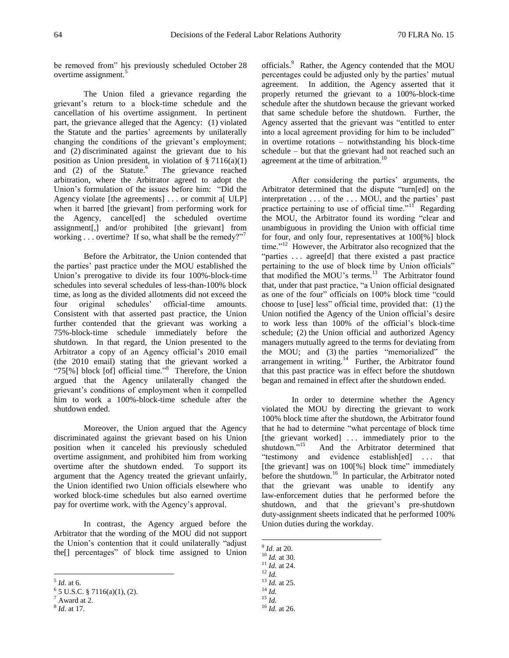be removed from" his previously scheduled October 28 overtime assignment.<sup>5</sup>

The Union filed a grievance regarding the grievant's return to a block-time schedule and the cancellation of his overtime assignment. In pertinent part, the grievance alleged that the Agency: (1) violated the Statute and the parties' agreements by unilaterally changing the conditions of the grievant's employment; and (2) discriminated against the grievant due to his position as Union president, in violation of  $\S 7116(a)(1)$ and  $(2)$  of the Statute.<sup>6</sup> The grievance reached arbitration, where the Arbitrator agreed to adopt the Union's formulation of the issues before him: "Did the Agency violate [the agreements] . . . or commit a[ ULP] when it barred [the grievant] from performing work for the Agency, cancel[ed] the scheduled overtime assignment[,] and/or prohibited [the grievant] from working . . . overtime? If so, what shall be the remedy?"<sup>7</sup>

Before the Arbitrator, the Union contended that the parties' past practice under the MOU established the Union's prerogative to divide its four 100%-block-time schedules into several schedules of less-than-100% block time, as long as the divided allotments did not exceed the four original schedules' official-time amounts. Consistent with that asserted past practice, the Union further contended that the grievant was working a 75%-block-time schedule immediately before the shutdown. In that regard, the Union presented to the Arbitrator a copy of an Agency official's 2010 email (the 2010 email) stating that the grievant worked a " $75$ [%] block [of] official time."<sup>8</sup> Therefore, the Union argued that the Agency unilaterally changed the grievant's conditions of employment when it compelled him to work a 100%-block-time schedule after the shutdown ended.

Moreover, the Union argued that the Agency discriminated against the grievant based on his Union position when it canceled his previously scheduled overtime assignment, and prohibited him from working overtime after the shutdown ended. To support its argument that the Agency treated the grievant unfairly, the Union identified two Union officials elsewhere who worked block-time schedules but also earned overtime pay for overtime work, with the Agency's approval.

In contrast, the Agency argued before the Arbitrator that the wording of the MOU did not support the Union's contention that it could unilaterally "adjust the[] percentages" of block time assigned to Union

 $\overline{a}$ 

officials.<sup>9</sup> Rather, the Agency contended that the MOU percentages could be adjusted only by the parties' mutual agreement. In addition, the Agency asserted that it properly returned the grievant to a 100%-block-time schedule after the shutdown because the grievant worked that same schedule before the shutdown. Further, the Agency asserted that the grievant was "entitled to enter into a local agreement providing for him to be included" in overtime rotations – notwithstanding his block-time schedule – but that the grievant had not reached such an agreement at the time of arbitration.<sup>10</sup>

After considering the parties' arguments, the Arbitrator determined that the dispute "turn[ed] on the interpretation . . . of the . . . MOU, and the parties' past practice pertaining to use of official time."<sup>11</sup> Regarding the MOU, the Arbitrator found its wording "clear and unambiguous in providing the Union with official time for four, and only four, representatives at 100[%] block time."<sup>12</sup> However, the Arbitrator also recognized that the "parties ... agree<sup>[d]</sup> that there existed a past practice pertaining to the use of block time by Union officials" that modified the MOU's terms.<sup>13</sup> The Arbitrator found that, under that past practice, "a Union official designated as one of the four" officials on 100% block time "could choose to [use] less" official time, provided that: (1) the Union notified the Agency of the Union official's desire to work less than 100% of the official's block-time schedule; (2) the Union official and authorized Agency managers mutually agreed to the terms for deviating from the MOU; and (3) the parties "memorialized" the arrangement in writing. $14$  Further, the Arbitrator found that this past practice was in effect before the shutdown began and remained in effect after the shutdown ended.

In order to determine whether the Agency violated the MOU by directing the grievant to work 100% block time after the shutdown, the Arbitrator found that he had to determine "what percentage of block time [the grievant worked] ... immediately prior to the shutdown."<sup>15</sup> And the Arbitrator determined that "testimony and evidence establish[ed] . . . that [the grievant] was on 100[%] block time" immediately before the shutdown.<sup>16</sup> In particular, the Arbitrator noted that the grievant was unable to identify any law-enforcement duties that he performed before the shutdown, and that the grievant's pre-shutdown duty-assignment sheets indicated that he performed 100% Union duties during the workday.

9 *Id.* at 20.

<sup>5</sup> *Id.* at 6.

 $6$  5 U.S.C. § 7116(a)(1), (2).

 $7$  Award at 2.

<sup>8</sup> *Id.* at 17.

<sup>10</sup> *Id.* at 30.

<sup>11</sup> *Id.* at 24.

<sup>12</sup> *Id.*

<sup>13</sup> *Id.* at 25.

 $^{14}$  *Id.* <sup>15</sup> *Id.*

<sup>16</sup> *Id.* at 26.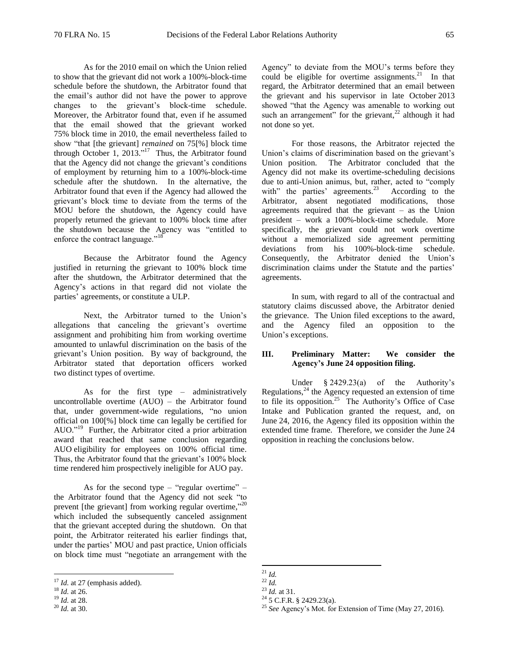As for the 2010 email on which the Union relied to show that the grievant did not work a 100%-block-time schedule before the shutdown, the Arbitrator found that the email's author did not have the power to approve changes to the grievant's block-time schedule. Moreover, the Arbitrator found that, even if he assumed that the email showed that the grievant worked 75% block time in 2010, the email nevertheless failed to show "that [the grievant] *remained* on 75[%] block time through October 1, 2013."<sup>17</sup> Thus, the Arbitrator found that the Agency did not change the grievant's conditions of employment by returning him to a 100%-block-time schedule after the shutdown. In the alternative, the Arbitrator found that even if the Agency had allowed the grievant's block time to deviate from the terms of the MOU before the shutdown, the Agency could have properly returned the grievant to 100% block time after the shutdown because the Agency was "entitled to enforce the contract language."<sup>18</sup>

Because the Arbitrator found the Agency justified in returning the grievant to 100% block time after the shutdown, the Arbitrator determined that the Agency's actions in that regard did not violate the parties' agreements, or constitute a ULP.

Next, the Arbitrator turned to the Union's allegations that canceling the grievant's overtime assignment and prohibiting him from working overtime amounted to unlawful discrimination on the basis of the grievant's Union position. By way of background, the Arbitrator stated that deportation officers worked two distinct types of overtime.

As for the first type – administratively uncontrollable overtime (AUO) – the Arbitrator found that, under government-wide regulations, "no union official on 100[%] block time can legally be certified for AUO." 19 Further, the Arbitrator cited a prior arbitration award that reached that same conclusion regarding AUO eligibility for employees on 100% official time. Thus, the Arbitrator found that the grievant's 100% block time rendered him prospectively ineligible for AUO pay.

As for the second type – "regular overtime" – the Arbitrator found that the Agency did not seek "to prevent [the grievant] from working regular overtime,"20 which included the subsequently canceled assignment that the grievant accepted during the shutdown. On that point, the Arbitrator reiterated his earlier findings that, under the parties' MOU and past practice, Union officials on block time must "negotiate an arrangement with the

 $\overline{a}$ 

Agency" to deviate from the MOU's terms before they could be eligible for overtime assignments. $21$  In that regard, the Arbitrator determined that an email between the grievant and his supervisor in late October 2013 showed "that the Agency was amenable to working out such an arrangement" for the grievant,<sup>22</sup> although it had not done so yet.

For those reasons, the Arbitrator rejected the Union's claims of discrimination based on the grievant's Union position. The Arbitrator concluded that the Agency did not make its overtime-scheduling decisions due to anti-Union animus, but, rather, acted to "comply with" the parties' agreements.<sup>23</sup> According to the Arbitrator, absent negotiated modifications, those agreements required that the grievant – as the Union president – work a 100%-block-time schedule. More specifically, the grievant could not work overtime without a memorialized side agreement permitting deviations from his 100%-block-time schedule. Consequently, the Arbitrator denied the Union's discrimination claims under the Statute and the parties' agreements.

In sum, with regard to all of the contractual and statutory claims discussed above, the Arbitrator denied the grievance. The Union filed exceptions to the award, and the Agency filed an opposition to the Union's exceptions.

# **III. Preliminary Matter: We consider the Agency's June 24 opposition filing.**

Under § 2429.23(a) of the Authority's Regulations, $24$  the Agency requested an extension of time to file its opposition.<sup>25</sup> The Authority's Office of Case Intake and Publication granted the request, and, on June 24, 2016, the Agency filed its opposition within the extended time frame. Therefore, we consider the June 24 opposition in reaching the conclusions below.

<sup>&</sup>lt;sup>17</sup> *Id.* at 27 (emphasis added).

<sup>18</sup> *Id.* at 26.

<sup>19</sup> *Id.* at 28.

<sup>20</sup> *Id.* at 30.

<sup>21</sup> *Id.* <sup>22</sup> *Id.*

 $^{23}$  *Id.* at 31.  $24\overline{5}$  C.F.R. § 2429.23(a).

<sup>25</sup> *See* Agency's Mot. for Extension of Time (May 27, 2016).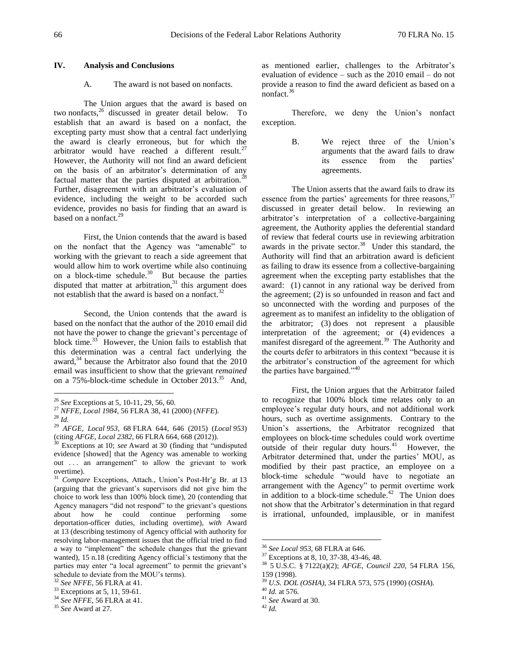### **IV. Analysis and Conclusions**

### A. The award is not based on nonfacts.

The Union argues that the award is based on two nonfacts,<sup>26</sup> discussed in greater detail below. To establish that an award is based on a nonfact, the excepting party must show that a central fact underlying the award is clearly erroneous, but for which the arbitrator would have reached a different result. $27$ However, the Authority will not find an award deficient on the basis of an arbitrator's determination of any factual matter that the parties disputed at arbitration.<sup>2</sup> Further, disagreement with an arbitrator's evaluation of evidence, including the weight to be accorded such evidence, provides no basis for finding that an award is based on a nonfact. $^{29}$ 

First, the Union contends that the award is based on the nonfact that the Agency was "amenable" to working with the grievant to reach a side agreement that would allow him to work overtime while also continuing on a block-time schedule.<sup>30</sup> But because the parties disputed that matter at arbitration, $31$  this argument does not establish that the award is based on a nonfact.<sup>32</sup>

Second, the Union contends that the award is based on the nonfact that the author of the 2010 email did not have the power to change the grievant's percentage of block time. $3^3$  However, the Union fails to establish that this determination was a central fact underlying the award, $34$  because the Arbitrator also found that the 2010 email was insufficient to show that the grievant *remained* on a 75%-block-time schedule in October 2013.<sup>35</sup> And,

 $\overline{a}$ 

as mentioned earlier, challenges to the Arbitrator's evaluation of evidence – such as the 2010 email – do not provide a reason to find the award deficient as based on a nonfact.<sup>36</sup>

Therefore, we deny the Union's nonfact exception.

> B. We reject three of the Union's arguments that the award fails to draw its essence from the parties' agreements.

The Union asserts that the award fails to draw its essence from the parties' agreements for three reasons,  $37$ discussed in greater detail below. In reviewing an arbitrator's interpretation of a collective-bargaining agreement, the Authority applies the deferential standard of review that federal courts use in reviewing arbitration awards in the private sector.<sup>38</sup> Under this standard, the Authority will find that an arbitration award is deficient as failing to draw its essence from a collective-bargaining agreement when the excepting party establishes that the award: (1) cannot in any rational way be derived from the agreement; (2) is so unfounded in reason and fact and so unconnected with the wording and purposes of the agreement as to manifest an infidelity to the obligation of the arbitrator; (3) does not represent a plausible interpretation of the agreement; or (4) evidences a manifest disregard of the agreement.<sup>39</sup> The Authority and the courts defer to arbitrators in this context "because it is the arbitrator's construction of the agreement for which the parties have bargained."<sup>40</sup>

First, the Union argues that the Arbitrator failed to recognize that 100% block time relates only to an employee's regular duty hours, and not additional work hours, such as overtime assignments. Contrary to the Union's assertions, the Arbitrator recognized that employees on block-time schedules could work overtime outside of their regular duty hours. $41$  However, the Arbitrator determined that, under the parties' MOU, as modified by their past practice, an employee on a block-time schedule "would have to negotiate an arrangement with the Agency" to permit overtime work in addition to a block-time schedule.<sup>42</sup> The Union does not show that the Arbitrator's determination in that regard is irrational, unfounded, implausible, or in manifest

<sup>26</sup> *See* Exceptions at 5, 10-11, 29, 56, 60.

<sup>27</sup> *NFFE, Local 1984*, 56 FLRA 38, 41 (2000) (*NFFE*).

<sup>28</sup> *Id.*

<sup>29</sup> *AFGE, Local 953*, 68 FLRA 644, 646 (2015) (*Local 953*) (citing *AFGE, Local 2382*, 66 FLRA 664, 668 (2012)).

<sup>30</sup> Exceptions at 10; *see* Award at 30 (finding that "undisputed evidence [showed] that the Agency was amenable to working out ... an arrangement" to allow the grievant to work overtime).

<sup>31</sup> *Compare* Exceptions, Attach., Union's Post-Hr'g Br. at 13 (arguing that the grievant's supervisors did not give him the choice to work less than 100% block time), 20 (contending that Agency managers "did not respond" to the grievant's questions<br>about how he could continue performing some about how he could continue performing some deportation-officer duties, including overtime), *with* Award at 13 (describing testimony of Agency official with authority for resolving labor-management issues that the official tried to find a way to "implement" the schedule changes that the grievant wanted), 15 n.18 (crediting Agency official's testimony that the parties may enter "a local agreement" to permit the grievant's schedule to deviate from the MOU's terms).

<sup>32</sup> *See NFFE*, 56 FLRA at 41.

<sup>&</sup>lt;sup>33</sup> Exceptions at 5, 11, 59-61.

<sup>34</sup> *See NFFE*, 56 FLRA at 41.

<sup>35</sup> *See* Award at 27.

<sup>36</sup> *See Local 953*, 68 FLRA at 646.

<sup>37</sup> Exceptions at 8, 10, 37-38, 43-46, 48.

<sup>38</sup> 5 U.S.C. § 7122(a)(2); *AFGE, Council 220*, 54 FLRA 156, 159 (1998).

<sup>39</sup> *U.S. DOL (OSHA)*, 34 FLRA 573, 575 (1990) (*OSHA*).

<sup>40</sup> *Id.* at 576.

<sup>41</sup> *See* Award at 30.

<sup>42</sup> *Id.*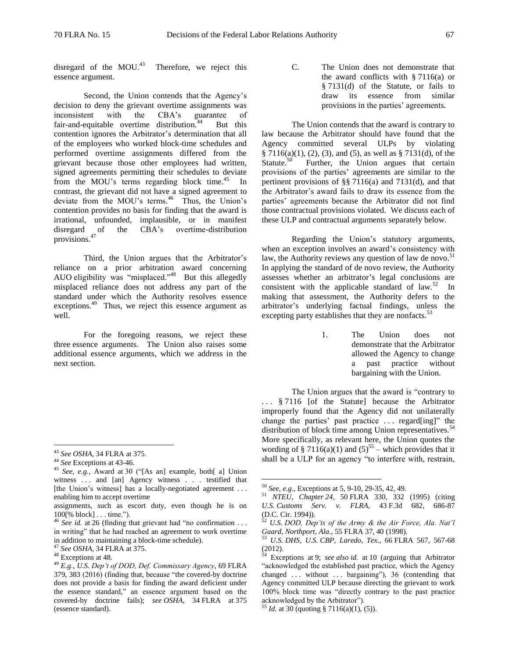disregard of the MOU.<sup>43</sup> Therefore, we reject this essence argument.

Second, the Union contends that the Agency's decision to deny the grievant overtime assignments was<br>inconsistent with the CBA's guarantee of inconsistent with the CBA's guarantee of fair-and-equitable overtime distribution.<sup>44</sup> But this contention ignores the Arbitrator's determination that all of the employees who worked block-time schedules and performed overtime assignments differed from the grievant because those other employees had written, signed agreements permitting their schedules to deviate from the MOU's terms regarding block time.<sup>45</sup> In contrast, the grievant did not have a signed agreement to deviate from the MOU's terms. 46 Thus, the Union's contention provides no basis for finding that the award is irrational, unfounded, implausible, or in manifest disregard of the CBA's overtime-distribution provisions.<sup>47</sup>

Third, the Union argues that the Arbitrator's reliance on a prior arbitration award concerning AUO eligibility was "misplaced."<sup>48</sup> But this allegedly misplaced reliance does not address any part of the standard under which the Authority resolves essence exceptions.<sup>49</sup> Thus, we reject this essence argument as well.

For the foregoing reasons, we reject these three essence arguments. The Union also raises some additional essence arguments, which we address in the next section.

 $\overline{a}$ 

C. The Union does not demonstrate that the award conflicts with  $§ 7116(a)$  or § 7131(d) of the Statute, or fails to draw its essence from similar provisions in the parties' agreements.

The Union contends that the award is contrary to law because the Arbitrator should have found that the Agency committed several ULPs by violating  $§ 7116(a)(1), (2), (3), and (5), as well as § 7131(d), of the$ Statute. $50$  Further, the Union argues that certain provisions of the parties' agreements are similar to the pertinent provisions of §§ 7116(a) and 7131(d), and that the Arbitrator's award fails to draw its essence from the parties' agreements because the Arbitrator did not find those contractual provisions violated. We discuss each of these ULP and contractual arguments separately below.

Regarding the Union's statutory arguments, when an exception involves an award's consistency with law, the Authority reviews any question of law de novo.<sup>51</sup> In applying the standard of de novo review, the Authority assesses whether an arbitrator's legal conclusions are consistent with the applicable standard of law. $52 \text{ In}$ making that assessment, the Authority defers to the arbitrator's underlying factual findings, unless the excepting party establishes that they are nonfacts. $53$ 

> 1. The Union does not demonstrate that the Arbitrator allowed the Agency to change a past practice without bargaining with the Union.

The Union argues that the award is "contrary to . . . § 7116 [of the Statute] because the Arbitrator improperly found that the Agency did not unilaterally change the parties' past practice . . . regard[ing]" the distribution of block time among Union representatives.<sup>54</sup> More specifically, as relevant here, the Union quotes the wording of § 7116(a)(1) and  $(5)^{55}$  – which provides that it shall be a ULP for an agency "to interfere with, restrain,

<sup>43</sup> *See OSHA*, 34 FLRA at 375.

<sup>44</sup> *See* Exceptions at 43-46.

<sup>45</sup> *See, e.g.*, Award at 30 ("[As an] example, both[ a] Union witness ... and [an] Agency witness . . . testified that [the Union's witness] has a locally-negotiated agreement ... enabling him to accept overtime

assignments, such as escort duty, even though he is on 100[% block] . . . time.").

<sup>46</sup> *See id.* at 26 (finding that grievant had "no confirmation . . . in writing" that he had reached an agreement to work overtime in addition to maintaining a block-time schedule).

<sup>47</sup> *See OSHA*, 34 FLRA at 375.

<sup>&</sup>lt;sup>48</sup> Exceptions at 48.

<sup>49</sup> *E.g.*, *U.S. Dep't of DOD, Def. Commissary Agency*, 69 FLRA 379, 383 (2016) (finding that, because "the covered-by doctrine does not provide a basis for finding the award deficient under the essence standard," an essence argument based on the covered-by doctrine fails); *see OSHA*, 34 FLRA at 375 (essence standard).

<sup>50</sup> *See, e.g.*, Exceptions at 5, 9-10, 29-35, 42, 49.

<sup>51</sup> *NTEU, Chapter 24*, 50 FLRA 330, 332 (1995) (citing *U.S. Customs Serv. v. FLRA*, 43 F.3d 682, 686-87 (D.C. Cir. 1994)).

<sup>52</sup> *U.S. DOD, Dep'ts of the Army & the Air Force, Ala. Nat'l Guard, Northport, Ala.*, 55 FLRA 37, 40 (1998).

<sup>53</sup> *U.S. DHS, U.S. CBP, Laredo, Tex.*, 66 FLRA 567, 567-68  $(2012).$ 

<sup>54</sup> Exceptions at 9; *see also id.* at 10 (arguing that Arbitrator "acknowledged the established past practice, which the Agency changed  $\ldots$  without  $\ldots$  bargaining"), 36 (contending that Agency committed ULP because directing the grievant to work 100% block time was "directly contrary to the past practice acknowledged by the Arbitrator").

<sup>55</sup> *Id.* at 30 (quoting § 7116(a)(1), (5)).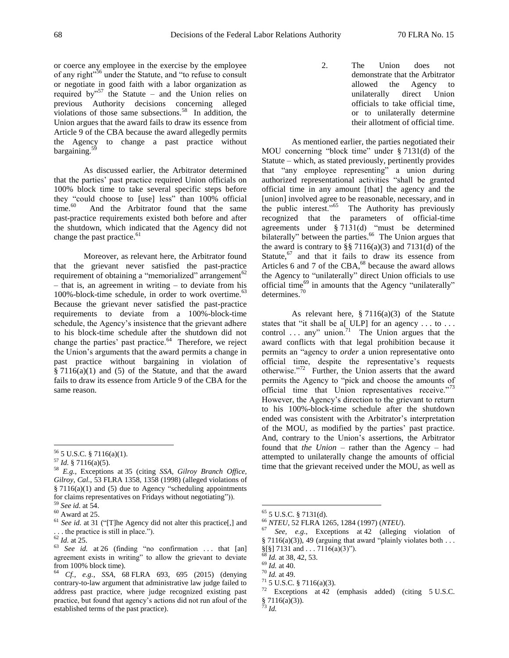or coerce any employee in the exercise by the employee of any right"<sup>56</sup> under the Statute, and "to refuse to consult or negotiate in good faith with a labor organization as required by<sup> $57$ </sup> the Statute – and the Union relies on previous Authority decisions concerning alleged violations of those same subsections.<sup>58</sup> In addition, the Union argues that the award fails to draw its essence from Article 9 of the CBA because the award allegedly permits the Agency to change a past practice without bargaining.<sup>5</sup>

As discussed earlier, the Arbitrator determined that the parties' past practice required Union officials on 100% block time to take several specific steps before they "could choose to [use] less" than 100% official time. 60 And the Arbitrator found that the same past-practice requirements existed both before and after the shutdown, which indicated that the Agency did not change the past practice.<sup>61</sup>

Moreover, as relevant here, the Arbitrator found that the grievant never satisfied the past-practice requirement of obtaining a "memorialized" arrangement<sup>62</sup> – that is, an agreement in writing – to deviate from his 100%-block-time schedule, in order to work overtime.<sup>63</sup> Because the grievant never satisfied the past-practice requirements to deviate from a 100%-block-time schedule, the Agency's insistence that the grievant adhere to his block-time schedule after the shutdown did not change the parties' past practice. $64$  Therefore, we reject the Union's arguments that the award permits a change in past practice without bargaining in violation of  $§ 7116(a)(1)$  and (5) of the Statute, and that the award fails to draw its essence from Article 9 of the CBA for the same reason.

 $\overline{a}$ 

2. The Union does not demonstrate that the Arbitrator allowed the Agency to unilaterally direct Union officials to take official time, or to unilaterally determine their allotment of official time.

As mentioned earlier, the parties negotiated their MOU concerning "block time" under § 7131(d) of the Statute – which, as stated previously, pertinently provides that "any employee representing" a union during authorized representational activities "shall be granted official time in any amount [that] the agency and the [union] involved agree to be reasonable, necessary, and in the public interest."<sup>65</sup> The Authority has previously recognized that the parameters of official-time agreements under § 7131(d) "must be determined bilaterally" between the parties.<sup>66</sup> The Union argues that the award is contrary to  $\S$  7116(a)(3) and 7131(d) of the Statute, $67$  and that it fails to draw its essence from Articles 6 and 7 of the CBA,<sup>68</sup> because the award allows the Agency to "unilaterally" direct Union officials to use official time<sup>69</sup> in amounts that the Agency "unilaterally" determines.<sup>70</sup>

As relevant here,  $\S 7116(a)(3)$  of the Statute states that "it shall be a[  $ULP$ ] for an agency ... to ... control ... any" union.<sup>71</sup> The Union argues that the award conflicts with that legal prohibition because it permits an "agency to *order* a union representative onto official time, despite the representative's requests otherwise."<sup>72</sup> Further, the Union asserts that the award permits the Agency to "pick and choose the amounts of official time that Union representatives receive."<sup>73</sup> However, the Agency's direction to the grievant to return to his 100%-block-time schedule after the shutdown ended was consistent with the Arbitrator's interpretation of the MOU, as modified by the parties' past practice. And, contrary to the Union's assertions, the Arbitrator found that *the Union* – rather than the Agency – had attempted to unilaterally change the amounts of official time that the grievant received under the MOU, as well as

<sup>56</sup> 5 U.S.C. § 7116(a)(1).

<sup>57</sup> *Id.* § 7116(a)(5).

<sup>58</sup> *E.g.*, Exceptions at 35 (citing *SSA, Gilroy Branch Office, Gilroy, Cal.*, 53 FLRA 1358, 1358 (1998) (alleged violations of § 7116(a)(1) and (5) due to Agency "scheduling appointments for claims representatives on Fridays without negotiating")).

<sup>59</sup> *See id.* at 54.

 $60$  Award at 25.

<sup>61</sup> *See id.* at 31 ("[T]he Agency did not alter this practice[,] and . . . the practice is still in place.").

<sup>62</sup> *Id.* at 25.

<sup>&</sup>lt;sup>63</sup> *See id.* at 26 (finding "no confirmation ... that [an] agreement exists in writing" to allow the grievant to deviate from 100% block time).

<sup>64</sup> *Cf., e.g.*, *SSA*, 68 FLRA 693, 695 (2015) (denying contrary-to-law argument that administrative law judge failed to address past practice, where judge recognized existing past practice, but found that agency's actions did not run afoul of the established terms of the past practice).

 $65$  5 U.S.C. § 7131(d).

<sup>66</sup> *NTEU*, 52 FLRA 1265, 1284 (1997) (*NTEU*).

See, e.g., Exceptions at 42 (alleging violation of § 7116(a)(3)), 49 (arguing that award "plainly violates both . . .  $\S$ [§] 7131 and . . . 7116(a)(3)").

*Id.* at 38, 42, 53.

<sup>69</sup> *Id.* at 40.

<sup>70</sup> *Id.* at 49.

 $71$  5 U.S.C. § 7116(a)(3).

<sup>72</sup> Exceptions at 42 (emphasis added) (citing 5 U.S.C. § 7116(a)(3)).

<sup>73</sup> *Id.*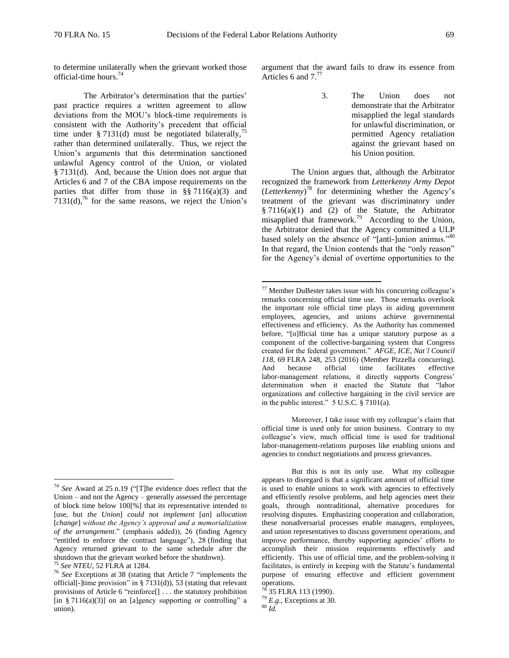$\overline{a}$ 

to determine unilaterally when the grievant worked those official-time hours.<sup>74</sup>

The Arbitrator's determination that the parties' past practice requires a written agreement to allow deviations from the MOU's block-time requirements is consistent with the Authority's precedent that official time under § 7131(d) must be negotiated bilaterally,<sup>7</sup> rather than determined unilaterally. Thus, we reject the Union's arguments that this determination sanctioned unlawful Agency control of the Union, or violated § 7131(d). And, because the Union does not argue that Articles 6 and 7 of the CBA impose requirements on the parties that differ from those in  $\S$ § 7116(a)(3) and  $7131(d)$ ,<sup>76</sup> for the same reasons, we reject the Union's

 $\overline{a}$ 

argument that the award fails to draw its essence from Articles 6 and  $7.^{77}$ 

> 3. The Union does not demonstrate that the Arbitrator misapplied the legal standards for unlawful discrimination, or permitted Agency retaliation against the grievant based on his Union position.

The Union argues that, although the Arbitrator recognized the framework from *Letterkenny Army Depot* (*Letterkenny*) <sup>78</sup> for determining whether the Agency's treatment of the grievant was discriminatory under  $§ 7116(a)(1)$  and (2) of the Statute, the Arbitrator misapplied that framework.<sup>79</sup> According to the Union, the Arbitrator denied that the Agency committed a ULP based solely on the absence of "[anti-]union animus."80 In that regard, the Union contends that the "only reason" for the Agency's denial of overtime opportunities to the

Moreover, I take issue with my colleague's claim that official time is used only for union business. Contrary to my colleague's view, much official time is used for traditional labor-management-relations purposes like enabling unions and agencies to conduct negotiations and process grievances.

<sup>74</sup> *See* Award at 25 n.19 ("[T]he evidence does reflect that the Union – and not the Agency – generally assessed the percentage of block time below 100[%] that its representative intended to [use, but *the Union*] *could not implement* [*an*] *allocation* [*change*] *without the Agency's approval and a memorialization of the arrangement*." (emphasis added)), 26 (finding Agency "entitled to enforce the contract language"), 28 (finding that Agency returned grievant to the same schedule after the shutdown that the grievant worked before the shutdown).

<sup>75</sup> *See NTEU*, 52 FLRA at 1284.

<sup>76</sup> *See* Exceptions at 38 (stating that Article 7 "implements the official<sup>[-</sup>]time provision" in  $\S 7131(d)$ , 53 (stating that relevant provisions of Article 6 "reinforce[] . . . the statutory prohibition [in § 7116(a)(3)] on an [a]gency supporting or controlling" a union).

 $77$  Member DuBester takes issue with his concurring colleague's remarks concerning official time use. Those remarks overlook the important role official time plays in aiding government employees, agencies, and unions achieve governmental effectiveness and efficiency. As the Authority has commented before, "[o]fficial time has a unique statutory purpose as a component of the collective-bargaining system that Congress created for the federal government." *AFGE, ICE, Nat'l Council 118*, 69 FLRA 248, 253 (2016) (Member Pizzella concurring). And because official time facilitates effective labor-management relations, it directly supports Congress' determination when it enacted the Statute that "labor organizations and collective bargaining in the civil service are in the public interest."  $5 \text{ U.S.C.}$   $\frac{8}{9}$  7101(a).

But this is not its only use. What my colleague appears to disregard is that a significant amount of official time is used to enable unions to work with agencies to effectively and efficiently resolve problems, and help agencies meet their goals, through nontraditional, alternative procedures for resolving disputes. Emphasizing cooperation and collaboration, these nonadversarial processes enable managers, employees, and union representatives to discuss government operations, and improve performance, thereby supporting agencies' efforts to accomplish their mission requirements effectively and efficiently. This use of official time, and the problem-solving it facilitates, is entirely in keeping with the Statute's fundamental purpose of ensuring effective and efficient government operations.

<sup>78</sup> 35 FLRA 113 (1990).

<sup>79</sup> *E.g.*, Exceptions at 30.

<sup>80</sup> *Id.*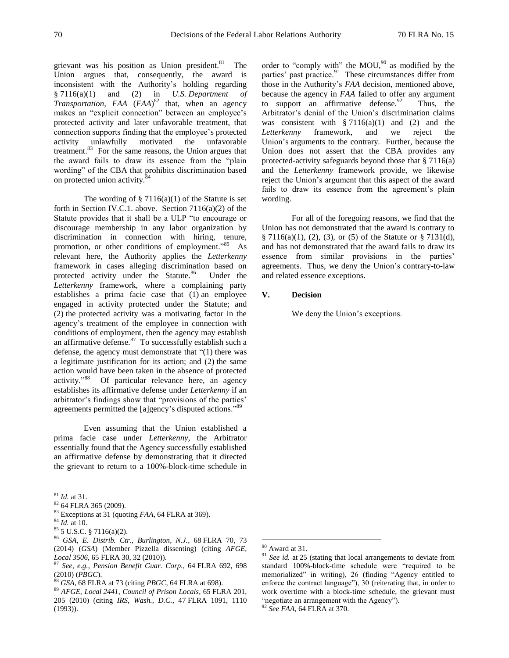grievant was his position as Union president.<sup>81</sup> The Union argues that, consequently, the award is inconsistent with the Authority's holding regarding § 7116(a)(1) and (2) in *U.S. Department of Transportation, FAA* (*FAA*) <sup>82</sup> that, when an agency makes an "explicit connection" between an employee's protected activity and later unfavorable treatment, that connection supports finding that the employee's protected activity unlawfully motivated the unfavorable treatment.<sup>83</sup> For the same reasons, the Union argues that the award fails to draw its essence from the "plain wording" of the CBA that prohibits discrimination based on protected union activity.<sup>8</sup>

The wording of  $\S 7116(a)(1)$  of the Statute is set forth in Section IV.C.1. above. Section 7116(a)(2) of the Statute provides that it shall be a ULP "to encourage or discourage membership in any labor organization by discrimination in connection with hiring, tenure, promotion, or other conditions of employment."<sup>85</sup> As relevant here, the Authority applies the *Letterkenny* framework in cases alleging discrimination based on protected activity under the Statute.<sup>86</sup> Under the *Letterkenny* framework, where a complaining party establishes a prima facie case that (1) an employee engaged in activity protected under the Statute; and (2) the protected activity was a motivating factor in the agency's treatment of the employee in connection with conditions of employment, then the agency may establish an affirmative defense. $87$  To successfully establish such a defense, the agency must demonstrate that "(1) there was a legitimate justification for its action; and (2) the same action would have been taken in the absence of protected activity." 88 Of particular relevance here, an agency establishes its affirmative defense under *Letterkenny* if an arbitrator's findings show that "provisions of the parties' agreements permitted the [a]gency's disputed actions."<sup>89</sup>

Even assuming that the Union established a prima facie case under *Letterkenny*, the Arbitrator essentially found that the Agency successfully established an affirmative defense by demonstrating that it directed the grievant to return to a 100%-block-time schedule in

 $\overline{a}$ 

order to "comply with" the  $MOU<sub>1</sub><sup>90</sup>$  as modified by the parties' past practice.<sup>91</sup> These circumstances differ from those in the Authority's *FAA* decision, mentioned above, because the agency in *FAA* failed to offer any argument to support an affirmative defense.  $92$  Thus, the Arbitrator's denial of the Union's discrimination claims was consistent with  $\S 7116(a)(1)$  and (2) and the *Letterkenny* framework, and we reject the Union's arguments to the contrary. Further, because the Union does not assert that the CBA provides any protected-activity safeguards beyond those that  $\S 7116(a)$ and the *Letterkenny* framework provide, we likewise reject the Union's argument that this aspect of the award fails to draw its essence from the agreement's plain wording.

For all of the foregoing reasons, we find that the Union has not demonstrated that the award is contrary to § 7116(a)(1), (2), (3), or (5) of the Statute or § 7131(d), and has not demonstrated that the award fails to draw its essence from similar provisions in the parties' agreements. Thus, we deny the Union's contrary-to-law and related essence exceptions.

#### **V. Decision**

We deny the Union's exceptions.

<sup>81</sup> *Id.* at 31.

<sup>82</sup> 64 FLRA 365 (2009).

<sup>83</sup> Exceptions at 31 (quoting *FAA*, 64 FLRA at 369).

<sup>84</sup> *Id.* at 10.

<sup>85</sup> 5 U.S.C. § 7116(a)(2).

<sup>86</sup> *GSA, E. Distrib. Ctr., Burlington, N.J.*, 68 FLRA 70, 73 (2014) (*GSA*) (Member Pizzella dissenting) (citing *AFGE, Local 3506*, 65 FLRA 30, 32 (2010)).

<sup>87</sup> *See, e.g.*, *Pension Benefit Guar. Corp.*, 64 FLRA 692, 698 (2010) (*PBGC*).

<sup>88</sup> *GSA*, 68 FLRA at 73 (citing *PBGC*, 64 FLRA at 698).

<sup>89</sup> *AFGE, Local 2441, Council of Prison Locals*, 65 FLRA 201, 205 (2010) (citing *IRS, Wash., D.C.*, 47 FLRA 1091, 1110 (1993)).

 $90$  Award at 31.

<sup>&</sup>lt;sup>91</sup> *See id.* at 25 (stating that local arrangements to deviate from standard 100%-block-time schedule were "required to be memorialized" in writing), 26 (finding "Agency entitled to enforce the contract language"), 30 (reiterating that, in order to work overtime with a block-time schedule, the grievant must "negotiate an arrangement with the Agency"). <sup>92</sup> *See FAA*, 64 FLRA at 370.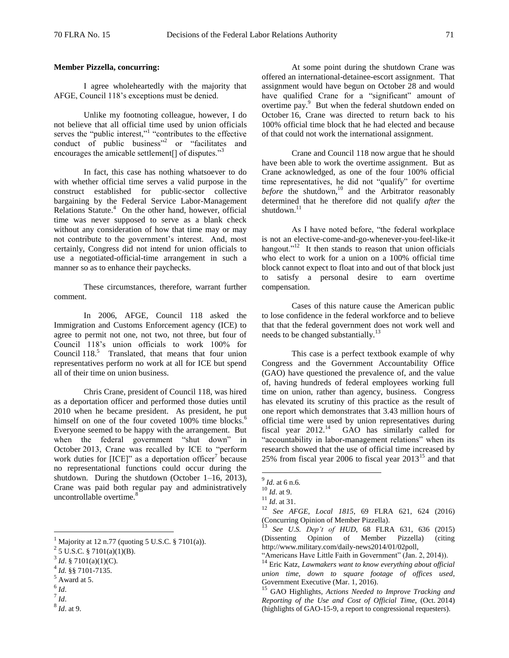### **Member Pizzella, concurring:**

I agree wholeheartedly with the majority that AFGE, Council 118's exceptions must be denied.

Unlike my footnoting colleague, however, I do not believe that all official time used by union officials serves the "public interest,"<sup>1</sup> "contributes to the effective conduct of public business"<sup>2</sup> or "facilitates and encourages the amicable settlement<sup>[]</sup> of disputes."<sup>3</sup>

In fact, this case has nothing whatsoever to do with whether official time serves a valid purpose in the construct established for public-sector collective bargaining by the Federal Service Labor-Management Relations Statute.<sup>4</sup> On the other hand, however, official time was never supposed to serve as a blank check without any consideration of how that time may or may not contribute to the government's interest. And, most certainly, Congress did not intend for union officials to use a negotiated-official-time arrangement in such a manner so as to enhance their paychecks.

These circumstances, therefore, warrant further comment.

In 2006, AFGE, Council 118 asked the Immigration and Customs Enforcement agency (ICE) to agree to permit not one, not two, not three, but four of Council 118's union officials to work 100% for Council  $118$ <sup>5</sup> Translated, that means that four union representatives perform no work at all for ICE but spend all of their time on union business.

Chris Crane, president of Council 118, was hired as a deportation officer and performed those duties until 2010 when he became president. As president, he put himself on one of the four coveted 100% time blocks.<sup>6</sup> Everyone seemed to be happy with the arrangement. But when the federal government "shut down" in October 2013, Crane was recalled by ICE to "perform work duties for  $[ICE]$ " as a deportation officer<sup>7</sup> because no representational functions could occur during the shutdown. During the shutdown (October 1–16, 2013), Crane was paid both regular pay and administratively uncontrollable overtime.<sup>8</sup>

- 6 *Id*.
- 7 *Id*.

 $\overline{a}$ 

8 *Id*. at 9.

At some point during the shutdown Crane was offered an international-detainee-escort assignment. That assignment would have begun on October 28 and would have qualified Crane for a "significant" amount of overtime pay.<sup>9</sup> But when the federal shutdown ended on October 16, Crane was directed to return back to his 100% official time block that he had elected and because of that could not work the international assignment.

Crane and Council 118 now argue that he should have been able to work the overtime assignment. But as Crane acknowledged, as one of the four 100% official time representatives, he did not "qualify" for overtime *before* the shutdown,<sup>10</sup> and the Arbitrator reasonably determined that he therefore did not qualify *after* the shutdown.<sup>11</sup>

As I have noted before, "the federal workplace is not an elective-come-and-go-whenever-you-feel-like-it hangout."<sup>12</sup> It then stands to reason that union officials who elect to work for a union on a 100% official time block cannot expect to float into and out of that block just to satisfy a personal desire to earn overtime compensation.

Cases of this nature cause the American public to lose confidence in the federal workforce and to believe that that the federal government does not work well and needs to be changed substantially.<sup>13</sup>

This case is a perfect textbook example of why Congress and the Government Accountability Office (GAO) have questioned the prevalence of, and the value of, having hundreds of federal employees working full time on union, rather than agency, business. Congress has elevated its scrutiny of this practice as the result of one report which demonstrates that 3.43 million hours of official time were used by union representatives during fiscal year  $2012$ .<sup>14</sup> GAO has similarly called for "accountability in labor-management relations" when its research showed that the use of official time increased by 25% from fiscal year 2006 to fiscal year  $2013^{15}$  and that

 $<sup>1</sup>$  Majority at 12 n.77 (quoting 5 U.S.C. § 7101(a)).</sup>

 $^{2}$  5 U.S.C. § 7101(a)(1)(B).

 $3^3$  *Id.* § 7101(a)(1)(C).

<sup>4</sup> *Id.* §§ 7101-7135.

 $<sup>5</sup>$  Award at 5.</sup>

<sup>9</sup> *Id*. at 6 n.6.

<sup>10</sup> *Id*. at 9.

 $\frac{11}{10}$  *Id.* at 31.

<sup>12</sup> *See AFGE, Local 1815*, 69 FLRA 621, 624 (2016) (Concurring Opinion of Member Pizzella).

See U.S. Dep't of HUD, 68 FLRA 631, 636 (2015) (Dissenting Opinion of Member Pizzella) (citing http://www.military.com/daily-news2014/01/02poll,

<sup>&</sup>quot;Americans Have Little Faith in Government" (Jan. 2, 2014)).

<sup>14</sup> Eric Katz, *Lawmakers want to know everything about official union time, down to square footage of offices used*, Government Executive (Mar. 1, 2016).

<sup>15</sup> GAO Highlights, *Actions Needed to Improve Tracking and Reporting of the Use and Cost of Official Time*, (Oct. 2014) (highlights of GAO-15-9, a report to congressional requesters).